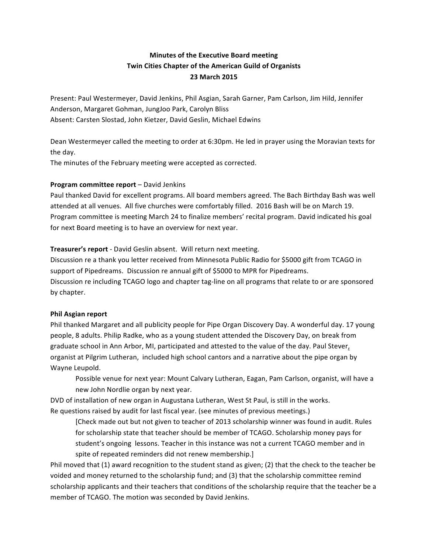# **Minutes of the Executive Board meeting Twin Cities Chapter of the American Guild of Organists 23 March 2015**

Present: Paul Westermeyer, David Jenkins, Phil Asgian, Sarah Garner, Pam Carlson, Jim Hild, Jennifer Anderson, Margaret Gohman, JungJoo Park, Carolyn Bliss Absent: Carsten Slostad, John Kietzer, David Geslin, Michael Edwins

Dean Westermeyer called the meeting to order at 6:30pm. He led in prayer using the Moravian texts for the day.

The minutes of the February meeting were accepted as corrected.

# **Program committee report** – David Jenkins

Paul thanked David for excellent programs. All board members agreed. The Bach Birthday Bash was well attended at all venues. All five churches were comfortably filled. 2016 Bash will be on March 19. Program committee is meeting March 24 to finalize members' recital program. David indicated his goal for next Board meeting is to have an overview for next year.

# Treasurer's report - David Geslin absent. Will return next meeting.

Discussion re a thank you letter received from Minnesota Public Radio for \$5000 gift from TCAGO in support of Pipedreams. Discussion re annual gift of \$5000 to MPR for Pipedreams. Discussion re including TCAGO logo and chapter tag-line on all programs that relate to or are sponsored by chapter.

### **Phil Asgian report**

Phil thanked Margaret and all publicity people for Pipe Organ Discovery Day. A wonderful day. 17 young people, 8 adults. Philip Radke, who as a young student attended the Discovery Day, on break from graduate school in Ann Arbor, MI, participated and attested to the value of the day. Paul Stever, organist at Pilgrim Lutheran, included high school cantors and a narrative about the pipe organ by Wayne Leupold.

Possible venue for next year: Mount Calvary Lutheran, Eagan, Pam Carlson, organist, will have a new John Nordlie organ by next year.

DVD of installation of new organ in Augustana Lutheran, West St Paul, is still in the works. Re questions raised by audit for last fiscal year. (see minutes of previous meetings.)

[Check made out but not given to teacher of 2013 scholarship winner was found in audit. Rules for scholarship state that teacher should be member of TCAGO. Scholarship money pays for student's ongoing lessons. Teacher in this instance was not a current TCAGO member and in spite of repeated reminders did not renew membership.]

Phil moved that (1) award recognition to the student stand as given; (2) that the check to the teacher be voided and money returned to the scholarship fund; and (3) that the scholarship committee remind scholarship applicants and their teachers that conditions of the scholarship require that the teacher be a member of TCAGO. The motion was seconded by David Jenkins.